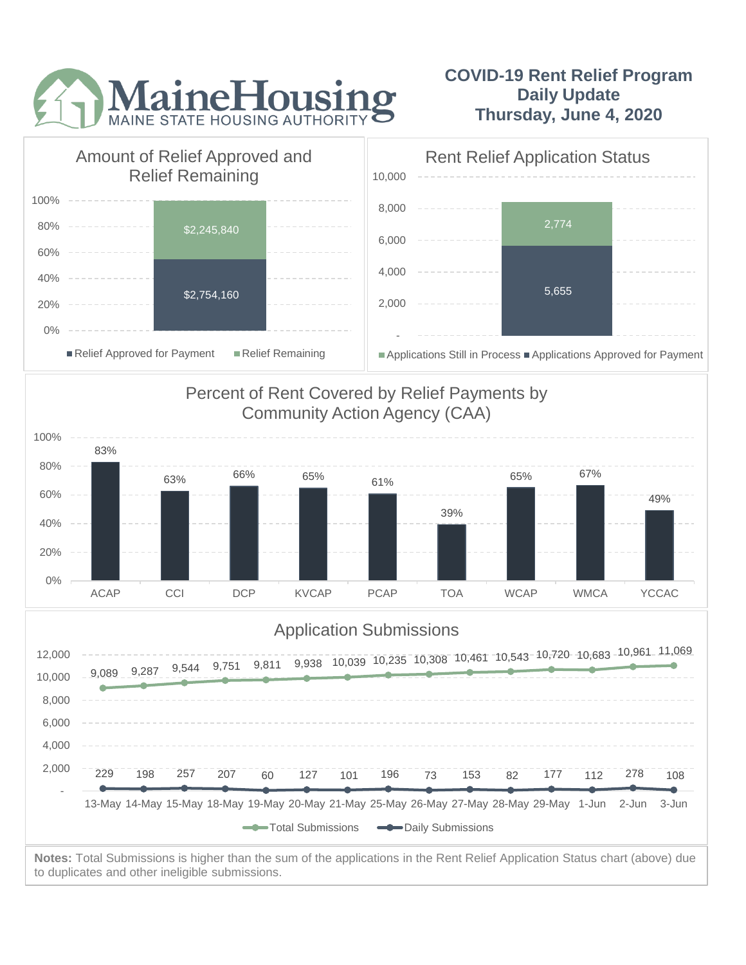

## **COVID-19 Rent Relief Program Daily Update Thursday, June 4, 2020**



to duplicates and other ineligible submissions.